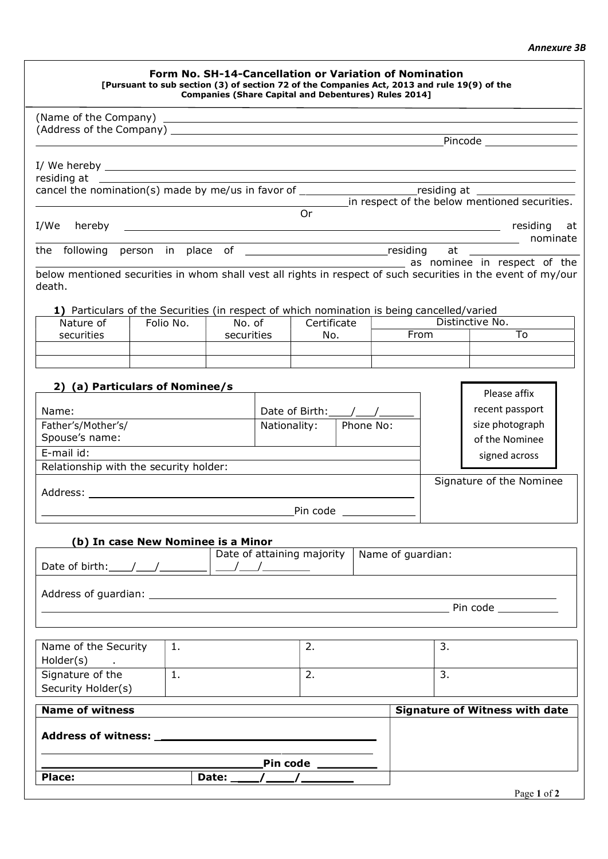## Annexure 3B

|                                                                                            |                |                      | Form No. SH-14-Cancellation or Variation of Nomination<br>[Pursuant to sub section (3) of section 72 of the Companies Act, 2013 and rule 19(9) of the<br><b>Companies (Share Capital and Debentures) Rules 2014]</b> |  |             |                                                                                                               |  |
|--------------------------------------------------------------------------------------------|----------------|----------------------|----------------------------------------------------------------------------------------------------------------------------------------------------------------------------------------------------------------------|--|-------------|---------------------------------------------------------------------------------------------------------------|--|
|                                                                                            |                |                      |                                                                                                                                                                                                                      |  |             |                                                                                                               |  |
|                                                                                            |                |                      |                                                                                                                                                                                                                      |  |             | Pincode _____________________                                                                                 |  |
|                                                                                            |                |                      |                                                                                                                                                                                                                      |  |             |                                                                                                               |  |
|                                                                                            |                |                      |                                                                                                                                                                                                                      |  |             |                                                                                                               |  |
|                                                                                            |                |                      |                                                                                                                                                                                                                      |  |             | cancel the nomination(s) made by me/us in favor of _______________________residing at _______________________ |  |
|                                                                                            |                |                      |                                                                                                                                                                                                                      |  |             | in respect of the below mentioned securities.                                                                 |  |
|                                                                                            |                |                      | <b>Or</b>                                                                                                                                                                                                            |  |             |                                                                                                               |  |
|                                                                                            |                |                      |                                                                                                                                                                                                                      |  | nominate    |                                                                                                               |  |
|                                                                                            |                |                      |                                                                                                                                                                                                                      |  |             | as nominee in respect of the                                                                                  |  |
| death.                                                                                     |                |                      |                                                                                                                                                                                                                      |  |             | below mentioned securities in whom shall vest all rights in respect of such securities in the event of my/our |  |
| 1) Particulars of the Securities (in respect of which nomination is being cancelled/varied |                |                      |                                                                                                                                                                                                                      |  |             |                                                                                                               |  |
| Nature of<br>securities                                                                    | Folio No.      | No. of<br>securities | Certificate<br>No.                                                                                                                                                                                                   |  | <b>From</b> | Distinctive No.<br>To                                                                                         |  |
|                                                                                            |                |                      |                                                                                                                                                                                                                      |  |             |                                                                                                               |  |
|                                                                                            |                |                      |                                                                                                                                                                                                                      |  |             |                                                                                                               |  |
| 2) (a) Particulars of Nominee/s                                                            |                |                      |                                                                                                                                                                                                                      |  |             | Please affix                                                                                                  |  |
| Name:                                                                                      |                |                      | Date of Birth: $\angle$                                                                                                                                                                                              |  |             | recent passport                                                                                               |  |
| Father's/Mother's/                                                                         |                |                      | Nationality:<br>Phone No:                                                                                                                                                                                            |  |             | size photograph                                                                                               |  |
| Spouse's name:<br>E-mail id:                                                               |                |                      |                                                                                                                                                                                                                      |  |             | of the Nominee                                                                                                |  |
| Relationship with the security holder:                                                     |                |                      |                                                                                                                                                                                                                      |  |             | signed across                                                                                                 |  |
|                                                                                            |                |                      |                                                                                                                                                                                                                      |  |             | Signature of the Nominee                                                                                      |  |
|                                                                                            |                |                      |                                                                                                                                                                                                                      |  |             |                                                                                                               |  |
| (b) In case New Nominee is a Minor                                                         |                |                      |                                                                                                                                                                                                                      |  |             |                                                                                                               |  |
|                                                                                            |                |                      | Date of attaining majority $\vert$ Name of quardian:                                                                                                                                                                 |  |             |                                                                                                               |  |
|                                                                                            |                |                      |                                                                                                                                                                                                                      |  |             |                                                                                                               |  |
|                                                                                            |                |                      |                                                                                                                                                                                                                      |  |             |                                                                                                               |  |
|                                                                                            |                |                      |                                                                                                                                                                                                                      |  |             | <b>Example 2018</b> Pin code                                                                                  |  |
|                                                                                            |                |                      |                                                                                                                                                                                                                      |  |             |                                                                                                               |  |
| Name of the Security<br>Holder(s)<br>$\sim 100$                                            | $\mathbf{1}$ . |                      | 2.                                                                                                                                                                                                                   |  | 3.          |                                                                                                               |  |
| Signature of the                                                                           | $\mathbf{1}$ . |                      | 2.                                                                                                                                                                                                                   |  | 3.          |                                                                                                               |  |
| Security Holder(s)                                                                         |                |                      |                                                                                                                                                                                                                      |  |             |                                                                                                               |  |
| <b>Name of witness</b>                                                                     |                |                      |                                                                                                                                                                                                                      |  |             | <b>Signature of Witness with date</b>                                                                         |  |
|                                                                                            |                |                      |                                                                                                                                                                                                                      |  |             |                                                                                                               |  |
|                                                                                            |                |                      | Pin code _____________                                                                                                                                                                                               |  |             |                                                                                                               |  |
| Place:                                                                                     |                |                      |                                                                                                                                                                                                                      |  |             |                                                                                                               |  |
|                                                                                            |                |                      |                                                                                                                                                                                                                      |  |             | Page 1 of 2                                                                                                   |  |